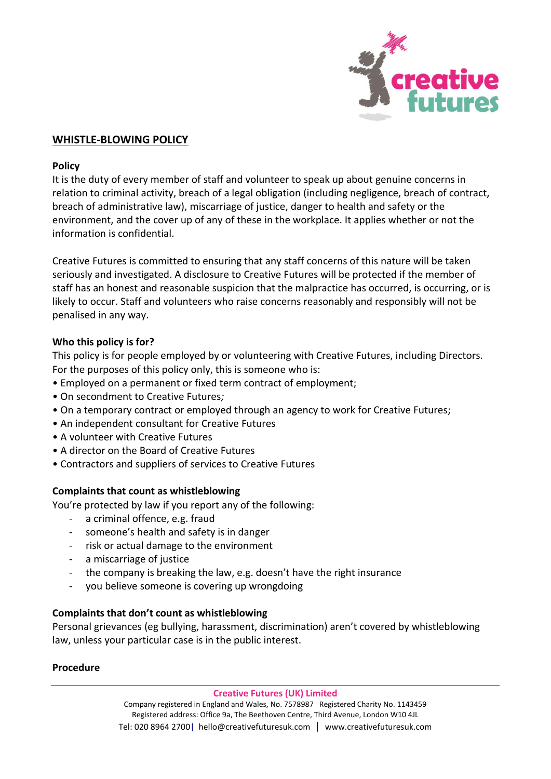

## **WHISTLE-BLOWING POLICY**

#### **Policy**

It is the duty of every member of staff and volunteer to speak up about genuine concerns in relation to criminal activity, breach of a legal obligation (including negligence, breach of contract, breach of administrative law), miscarriage of justice, danger to health and safety or the environment, and the cover up of any of these in the workplace. It applies whether or not the information is confidential.

Creative Futures is committed to ensuring that any staff concerns of this nature will be taken seriously and investigated. A disclosure to Creative Futures will be protected if the member of staff has an honest and reasonable suspicion that the malpractice has occurred, is occurring, or is likely to occur. Staff and volunteers who raise concerns reasonably and responsibly will not be penalised in any way.

### **Who this policy is for?**

This policy is for people employed by or volunteering with Creative Futures, including Directors. For the purposes of this policy only, this is someone who is:

- Employed on a permanent or fixed term contract of employment;
- On secondment to Creative Futures*;*
- On a temporary contract or employed through an agency to work for Creative Futures;
- An independent consultant for Creative Futures
- A volunteer with Creative Futures
- A director on the Board of Creative Futures
- Contractors and suppliers of services to Creative Futures

### **Complaints that count as whistleblowing**

You're protected by law if you report any of the following:

- a criminal offence, e.g. fraud
- someone's health and safety is in danger
- risk or actual damage to the environment
- a miscarriage of justice
- the company is breaking the law, e.g. doesn't have the right insurance
- you believe someone is covering up wrongdoing

#### **Complaints that don't count as whistleblowing**

Personal grievances (eg bullying, harassment, discrimination) aren't covered by whistleblowing law, unless your particular case is in the public interest.

### **Procedure**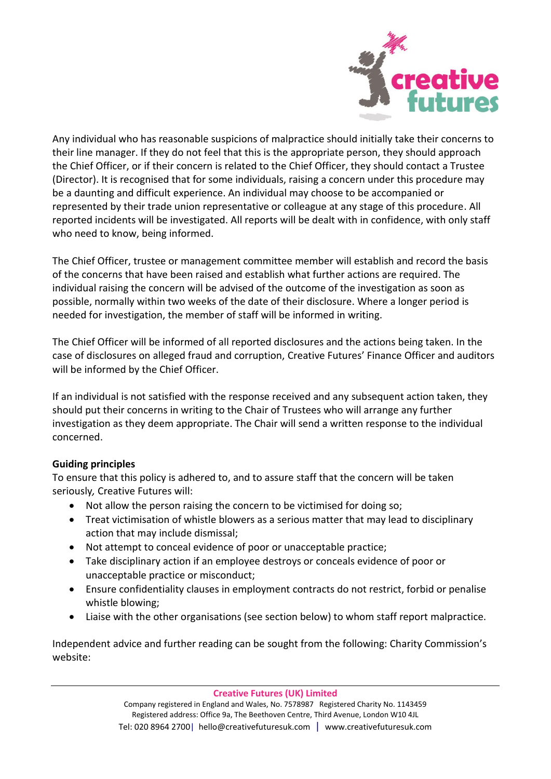

Any individual who has reasonable suspicions of malpractice should initially take their concerns to their line manager. If they do not feel that this is the appropriate person, they should approach the Chief Officer, or if their concern is related to the Chief Officer, they should contact a Trustee (Director). It is recognised that for some individuals, raising a concern under this procedure may be a daunting and difficult experience. An individual may choose to be accompanied or represented by their trade union representative or colleague at any stage of this procedure. All reported incidents will be investigated. All reports will be dealt with in confidence, with only staff who need to know, being informed.

The Chief Officer, trustee or management committee member will establish and record the basis of the concerns that have been raised and establish what further actions are required. The individual raising the concern will be advised of the outcome of the investigation as soon as possible, normally within two weeks of the date of their disclosure. Where a longer period is needed for investigation, the member of staff will be informed in writing.

The Chief Officer will be informed of all reported disclosures and the actions being taken. In the case of disclosures on alleged fraud and corruption, Creative Futures' Finance Officer and auditors will be informed by the Chief Officer.

If an individual is not satisfied with the response received and any subsequent action taken, they should put their concerns in writing to the Chair of Trustees who will arrange any further investigation as they deem appropriate. The Chair will send a written response to the individual concerned.

# **Guiding principles**

To ensure that this policy is adhered to, and to assure staff that the concern will be taken seriously*,* Creative Futures will:

- Not allow the person raising the concern to be victimised for doing so;
- Treat victimisation of whistle blowers as a serious matter that may lead to disciplinary action that may include dismissal;
- Not attempt to conceal evidence of poor or unacceptable practice;
- Take disciplinary action if an employee destroys or conceals evidence of poor or unacceptable practice or misconduct;
- Ensure confidentiality clauses in employment contracts do not restrict, forbid or penalise whistle blowing;
- Liaise with the other organisations (see section below) to whom staff report malpractice.

Independent advice and further reading can be sought from the following: Charity Commission's website: